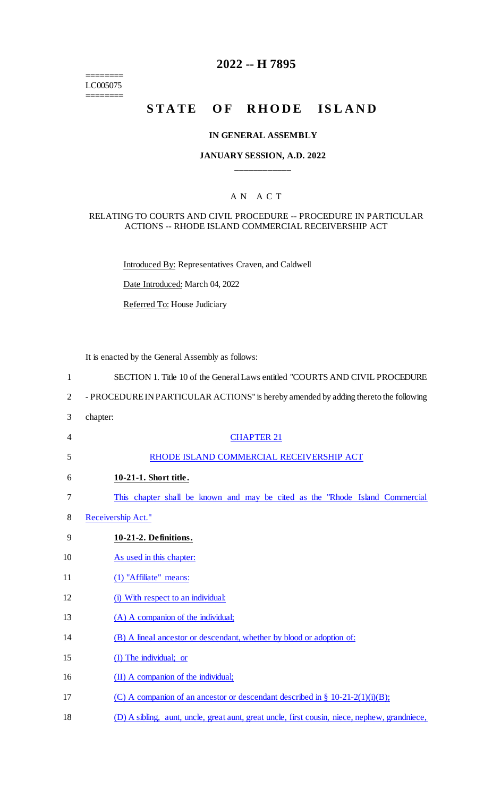======== LC005075 ========

## **2022 -- H 7895**

## **STATE OF RHODE ISLAND**

## **IN GENERAL ASSEMBLY**

## **JANUARY SESSION, A.D. 2022 \_\_\_\_\_\_\_\_\_\_\_\_**

## A N A C T

#### RELATING TO COURTS AND CIVIL PROCEDURE -- PROCEDURE IN PARTICULAR ACTIONS -- RHODE ISLAND COMMERCIAL RECEIVERSHIP ACT

Introduced By: Representatives Craven, and Caldwell

Date Introduced: March 04, 2022

Referred To: House Judiciary

It is enacted by the General Assembly as follows:

| $\mathbf{1}$   | SECTION 1. Title 10 of the General Laws entitled "COURTS AND CIVIL PROCEDURE                  |
|----------------|-----------------------------------------------------------------------------------------------|
| $\overline{2}$ | - PROCEDURE IN PARTICULAR ACTIONS" is hereby amended by adding thereto the following          |
| 3              | chapter:                                                                                      |
| 4              | <b>CHAPTER 21</b>                                                                             |
| 5              | RHODE ISLAND COMMERCIAL RECEIVERSHIP ACT                                                      |
| 6              | 10-21-1. Short title.                                                                         |
| 7              | This chapter shall be known and may be cited as the "Rhode Island Commercial"                 |
| 8              | Receivership Act."                                                                            |
| 9              | 10-21-2. Definitions.                                                                         |
| 10             | As used in this chapter:                                                                      |
| 11             | (1) "Affiliate" means:                                                                        |
| 12             | (i) With respect to an individual:                                                            |
| 13             | (A) A companion of the individual;                                                            |
| 14             | (B) A lineal ancestor or descendant, whether by blood or adoption of:                         |
| 15             | (I) The individual; or                                                                        |
| 16             | (II) A companion of the individual;                                                           |
| 17             | (C) A companion of an ancestor or descendant described in $\S$ 10-21-2(1)(i)(B);              |
| 18             | (D) A sibling, aunt, uncle, great aunt, great uncle, first cousin, niece, nephew, grandniece, |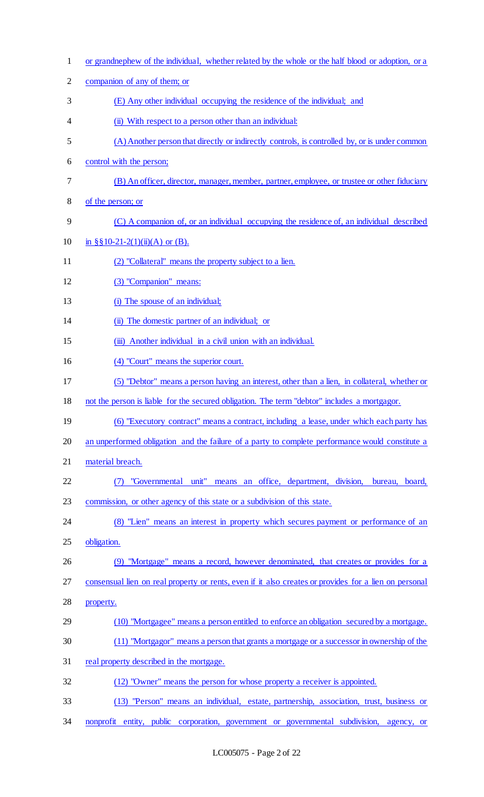| $\mathbf{1}$   | or grandnephew of the individual, whether related by the whole or the half blood or adoption, or a    |
|----------------|-------------------------------------------------------------------------------------------------------|
| $\overline{2}$ | companion of any of them; or                                                                          |
| 3              | (E) Any other individual occupying the residence of the individual; and                               |
| 4              | (ii) With respect to a person other than an individual:                                               |
| 5              | (A) Another person that directly or indirectly controls, is controlled by, or is under common         |
| 6              | control with the person;                                                                              |
| 7              | (B) An officer, director, manager, member, partner, employee, or trustee or other fiduciary           |
| 8              | of the person; or                                                                                     |
| 9              | (C) A companion of, or an individual occupying the residence of, an individual described              |
| 10             | in §§10-21-2(1)(ii)(A) or (B).                                                                        |
| 11             | (2) "Collateral" means the property subject to a lien.                                                |
| 12             | (3) "Companion" means:                                                                                |
| 13             | (i) The spouse of an individual;                                                                      |
| 14             | (ii) The domestic partner of an individual; or                                                        |
| 15             | (iii) Another individual in a civil union with an individual.                                         |
| 16             | (4) "Court" means the superior court.                                                                 |
| 17             | (5) "Debtor" means a person having an interest, other than a lien, in collateral, whether or          |
| 18             | not the person is liable for the secured obligation. The term "debtor" includes a mortgagor.          |
| 19             | (6) "Executory contract" means a contract, including a lease, under which each party has              |
| 20             | an unperformed obligation and the failure of a party to complete performance would constitute a       |
| 21             | material breach.                                                                                      |
| 22             | "Governmental unit" means an office, department, division,<br>bureau, board,                          |
| 23             | commission, or other agency of this state or a subdivision of this state.                             |
| 24             | (8) "Lien" means an interest in property which secures payment or performance of an                   |
| 25             | obligation.                                                                                           |
| 26             | (9) "Mortgage" means a record, however denominated, that creates or provides for a                    |
| 27             | consensual lien on real property or rents, even if it also creates or provides for a lien on personal |
| 28             | property.                                                                                             |
| 29             | (10) "Mortgagee" means a person entitled to enforce an obligation secured by a mortgage.              |
| 30             | (11) "Mortgagor" means a person that grants a mortgage or a successor in ownership of the             |
| 31             | real property described in the mortgage.                                                              |
| 32             | (12) "Owner" means the person for whose property a receiver is appointed.                             |
| 33             | (13) "Person" means an individual, estate, partnership, association, trust, business or               |
| 34             | nonprofit entity, public corporation, government or governmental subdivision, agency, or              |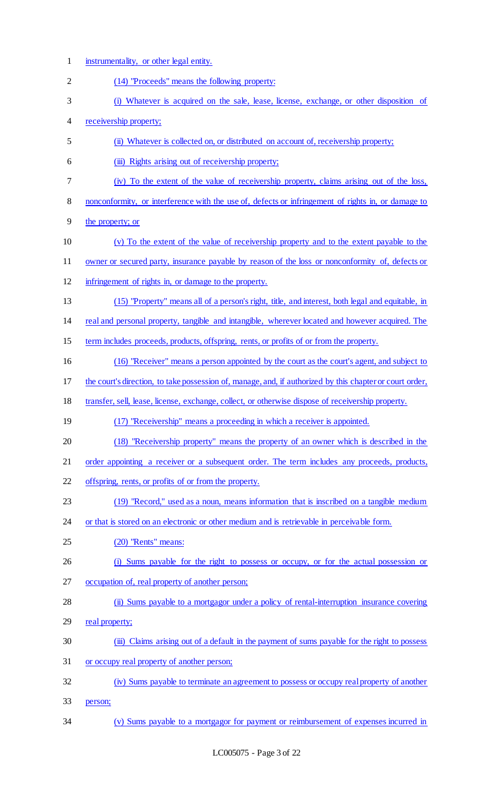instrumentality, or other legal entity. (14) "Proceeds" means the following property: (i) Whatever is acquired on the sale, lease, license, exchange, or other disposition of receivership property; (ii) Whatever is collected on, or distributed on account of, receivership property; (iii) Rights arising out of receivership property; (iv) To the extent of the value of receivership property, claims arising out of the loss, nonconformity, or interference with the use of, defects or infringement of rights in, or damage to the property; or (v) To the extent of the value of receivership property and to the extent payable to the owner or secured party, insurance payable by reason of the loss or nonconformity of, defects or infringement of rights in, or damage to the property. (15) "Property" means all of a person's right, title, and interest, both legal and equitable, in real and personal property, tangible and intangible, wherever located and however acquired. The term includes proceeds, products, offspring, rents, or profits of or from the property. (16) "Receiver" means a person appointed by the court as the court's agent, and subject to the court's direction, to take possession of, manage, and, if authorized by this chapter or court order, transfer, sell, lease, license, exchange, collect, or otherwise dispose of receivership property. 19 (17) "Receivership" means a proceeding in which a receiver is appointed. (18) "Receivership property" means the property of an owner which is described in the 21 order appointing a receiver or a subsequent order. The term includes any proceeds, products, offspring, rents, or profits of or from the property. (19) "Record," used as a noun, means information that is inscribed on a tangible medium 24 or that is stored on an electronic or other medium and is retrievable in perceivable form. (20) "Rents" means: (i) Sums payable for the right to possess or occupy, or for the actual possession or occupation of, real property of another person; 28 (ii) Sums payable to a mortgagor under a policy of rental-interruption insurance covering 29 real property; 30 (iii) Claims arising out of a default in the payment of sums payable for the right to possess or occupy real property of another person; (iv) Sums payable to terminate an agreement to possess or occupy real property of another person; (v) Sums payable to a mortgagor for payment or reimbursement of expenses incurred in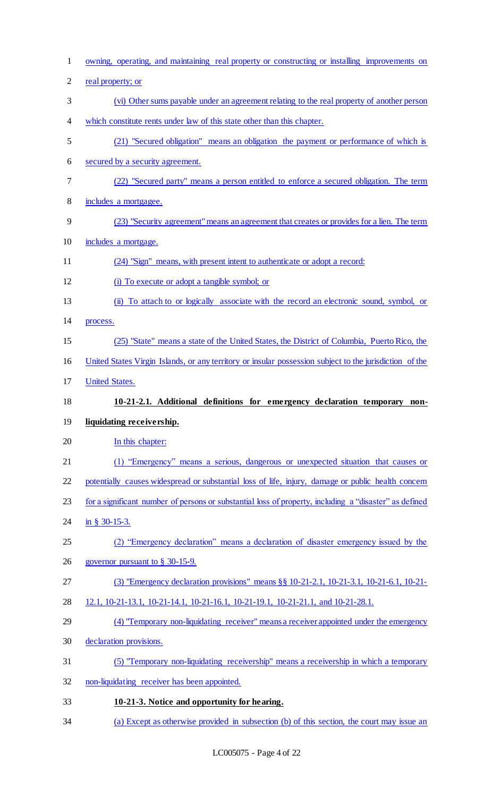| $\mathbf{1}$   | owning, operating, and maintaining real property or constructing or installing improvements on             |
|----------------|------------------------------------------------------------------------------------------------------------|
| $\overline{2}$ | real property; or                                                                                          |
| 3              | (vi) Other sums payable under an agreement relating to the real property of another person                 |
| 4              | which constitute rents under law of this state other than this chapter.                                    |
| 5              | (21) "Secured obligation" means an obligation the payment or performance of which is                       |
| 6              | secured by a security agreement.                                                                           |
| $\tau$         | (22) "Secured party" means a person entitled to enforce a secured obligation. The term                     |
| $8\,$          | includes a mortgagee.                                                                                      |
| 9              | (23) "Security agreement" means an agreement that creates or provides for a lien. The term                 |
| 10             | includes a mortgage.                                                                                       |
| 11             | (24) "Sign" means, with present intent to authenticate or adopt a record:                                  |
| 12             | (i) To execute or adopt a tangible symbol; or                                                              |
| 13             | To attach to or logically associate with the record an electronic sound, symbol, or<br>$\ddot{\mathbf{u}}$ |
| 14             | process.                                                                                                   |
| 15             | (25) "State" means a state of the United States, the District of Columbia, Puerto Rico, the                |
| 16             | United States Virgin Islands, or any territory or insular possession subject to the jurisdiction of the    |
| 17             | <b>United States.</b>                                                                                      |
|                |                                                                                                            |
| 18             | 10-21-2.1. Additional definitions for emergency declaration temporary non-                                 |
| 19             | liquidating receivership.                                                                                  |
| 20             | In this chapter:                                                                                           |
| 21             | (1) "Emergency" means a serious, dangerous or unexpected situation that causes or                          |
| 22             | potentially causes widespread or substantial loss of life, injury, damage or public health concern         |
| 23             | for a significant number of persons or substantial loss of property, including a "disaster" as defined     |
| 24             | in § 30-15-3.                                                                                              |
| 25             | "Emergency declaration" means a declaration of disaster emergency issued by the                            |
| 26             | governor pursuant to $\S$ 30-15-9.                                                                         |
| 27             | (3) "Emergency declaration provisions" means §§ 10-21-2.1, 10-21-3.1, 10-21-6.1, 10-21-                    |
| 28             | 12.1, 10-21-13.1, 10-21-14.1, 10-21-16.1, 10-21-19.1, 10-21-21.1, and 10-21-28.1.                          |
| 29             | (4) "Temporary non-liquidating receiver" means a receiver appointed under the emergency                    |
| 30             | declaration provisions.                                                                                    |
| 31             | (5) "Temporary non-liquidating receivership" means a receivership in which a temporary                     |
| 32             | non-liquidating receiver has been appointed.                                                               |
| 33             | 10-21-3. Notice and opportunity for hearing.                                                               |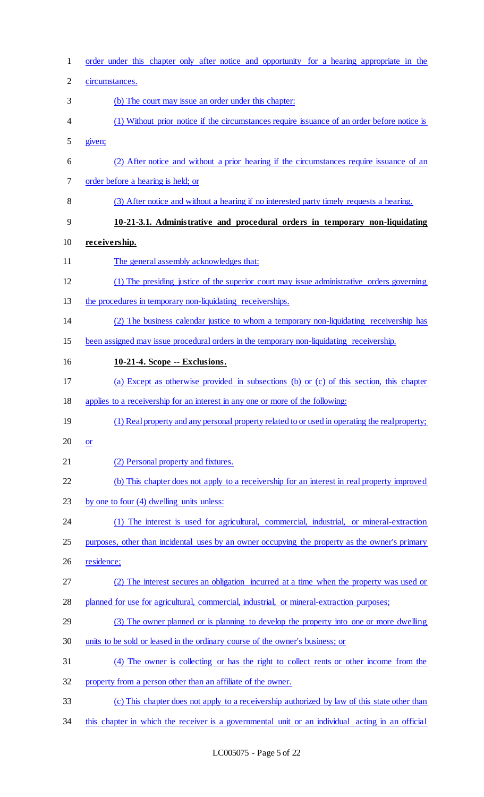| $\mathbf{1}$ | order under this chapter only after notice and opportunity for a hearing appropriate in the      |
|--------------|--------------------------------------------------------------------------------------------------|
| $\mathbf{2}$ | circumstances.                                                                                   |
| 3            | (b) The court may issue an order under this chapter:                                             |
| 4            | (1) Without prior notice if the circumstances require issuance of an order before notice is      |
| 5            | given;                                                                                           |
| 6            | (2) After notice and without a prior hearing if the circumstances require issuance of an         |
| 7            | order before a hearing is held; or                                                               |
| $8\,$        | (3) After notice and without a hearing if no interested party timely requests a hearing.         |
| 9            | 10-21-3.1. Administrative and procedural orders in temporary non-liquidating                     |
| 10           | receivership.                                                                                    |
| 11           | The general assembly acknowledges that:                                                          |
| 12           | (1) The presiding justice of the superior court may issue administrative orders governing        |
| 13           | the procedures in temporary non-liquidating receiverships.                                       |
| 14           | (2) The business calendar justice to whom a temporary non-liquidating receivership has           |
| 15           | been assigned may issue procedural orders in the temporary non-liquidating receivership.         |
| 16           | 10-21-4. Scope -- Exclusions.                                                                    |
| 17           | (a) Except as otherwise provided in subsections (b) or (c) of this section, this chapter         |
| 18           | applies to a receivership for an interest in any one or more of the following:                   |
| 19           | (1) Real property and any personal property related to or used in operating the real property;   |
| 20           | $or$                                                                                             |
| 21           | (2) Personal property and fixtures.                                                              |
| 22           | (b) This chapter does not apply to a receivership for an interest in real property improved      |
| 23           | by one to four (4) dwelling units unless:                                                        |
| 24           | (1) The interest is used for agricultural, commercial, industrial, or mineral-extraction         |
| 25           | purposes, other than incidental uses by an owner occupying the property as the owner's primary   |
| 26           | residence;                                                                                       |
| 27           | (2) The interest secures an obligation incurred at a time when the property was used or          |
| 28           | planned for use for agricultural, commercial, industrial, or mineral-extraction purposes;        |
| 29           | (3) The owner planned or is planning to develop the property into one or more dwelling           |
| 30           | units to be sold or leased in the ordinary course of the owner's business; or                    |
| 31           | (4) The owner is collecting or has the right to collect rents or other income from the           |
| 32           | property from a person other than an affiliate of the owner.                                     |
| 33           | (c) This chapter does not apply to a receivership authorized by law of this state other than     |
| 34           | this chapter in which the receiver is a governmental unit or an individual acting in an official |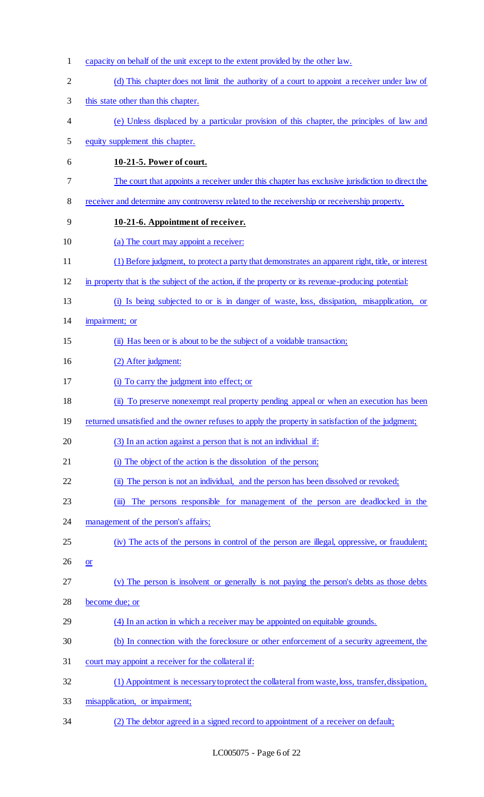capacity on behalf of the unit except to the extent provided by the other law. 2 (d) This chapter does not limit the authority of a court to appoint a receiver under law of this state other than this chapter. (e) Unless displaced by a particular provision of this chapter, the principles of law and equity supplement this chapter. **10-21-5. Power of court.**  The court that appoints a receiver under this chapter has exclusive jurisdiction to direct the receiver and determine any controversy related to the receivership or receivership property. **10-21-6. Appointment of receiver.**  10 (a) The court may appoint a receiver: (1) Before judgment, to protect a party that demonstrates an apparent right, title, or interest in property that is the subject of the action, if the property or its revenue-producing potential: (i) Is being subjected to or is in danger of waste, loss, dissipation, misapplication, or impairment; or (ii) Has been or is about to be the subject of a voidable transaction; (2) After judgment: (i) To carry the judgment into effect; or (ii) To preserve nonexempt real property pending appeal or when an execution has been 19 returned unsatisfied and the owner refuses to apply the property in satisfaction of the judgment; 20 (3) In an action against a person that is not an individual if: 21 (i) The object of the action is the dissolution of the person; 22 (ii) The person is not an individual, and the person has been dissolved or revoked; (iii) The persons responsible for management of the person are deadlocked in the 24 management of the person's affairs; (iv) The acts of the persons in control of the person are illegal, oppressive, or fraudulent;  $26 \quad or \quad$  (v) The person is insolvent or generally is not paying the person's debts as those debts become due; or (4) In an action in which a receiver may be appointed on equitable grounds. (b) In connection with the foreclosure or other enforcement of a security agreement, the court may appoint a receiver for the collateral if: (1) Appointment is necessary to protect the collateral from waste, loss, transfer, dissipation, misapplication, or impairment; (2) The debtor agreed in a signed record to appointment of a receiver on default;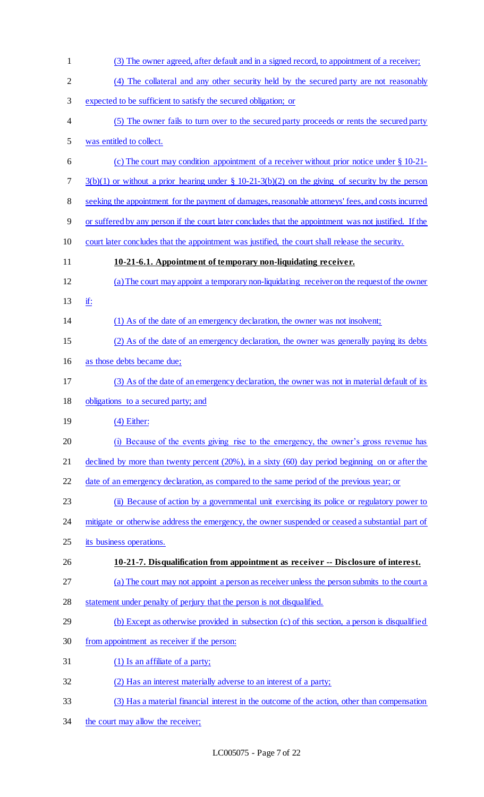| $\mathbf{1}$   | (3) The owner agreed, after default and in a signed record, to appointment of a receiver;              |
|----------------|--------------------------------------------------------------------------------------------------------|
| $\overline{2}$ | (4) The collateral and any other security held by the secured party are not reasonably                 |
| 3              | expected to be sufficient to satisfy the secured obligation; or                                        |
| 4              | (5) The owner fails to turn over to the secured party proceeds or rents the secured party              |
| 5              | was entitled to collect.                                                                               |
| 6              | (c) The court may condition appointment of a receiver without prior notice under § 10-21-              |
| 7              | $3(b)(1)$ or without a prior hearing under § 10-21-3(b)(2) on the giving of security by the person     |
| 8              | seeking the appointment for the payment of damages, reasonable attorneys' fees, and costs incurred     |
| 9              | or suffered by any person if the court later concludes that the appointment was not justified. If the  |
| 10             | court later concludes that the appointment was justified, the court shall release the security.        |
| 11             | 10-21-6.1. Appointment of temporary non-liquidating receiver.                                          |
| 12             | (a) The court may appoint a temporary non-liquidating receiver on the request of the owner             |
| 13             | if:                                                                                                    |
| 14             | (1) As of the date of an emergency declaration, the owner was not insolvent;                           |
| 15             | (2) As of the date of an emergency declaration, the owner was generally paying its debts               |
| 16             | as those debts became due;                                                                             |
| 17             | (3) As of the date of an emergency declaration, the owner was not in material default of its           |
| 18             | obligations to a secured party; and                                                                    |
| 19             | $(4)$ Either:                                                                                          |
| 20             | Because of the events giving rise to the emergency, the owner's gross revenue has                      |
| 21             | declined by more than twenty percent $(20\%)$ , in a sixty $(60)$ day period beginning on or after the |
| 22             | date of an emergency declaration, as compared to the same period of the previous year; or              |
| 23             | (ii) Because of action by a governmental unit exercising its police or regulatory power to             |
| 24             | mitigate or otherwise address the emergency, the owner suspended or ceased a substantial part of       |
| 25             | its business operations.                                                                               |
| 26             | 10-21-7. Disqualification from appointment as receiver -- Disclosure of interest.                      |
| 27             | (a) The court may not appoint a person as receiver unless the person submits to the court a            |
| 28             | statement under penalty of perjury that the person is not disqualified.                                |
| 29             | (b) Except as otherwise provided in subsection (c) of this section, a person is disqualified           |
| 30             | from appointment as receiver if the person:                                                            |
| 31             | (1) Is an affiliate of a party;                                                                        |
| 32             | (2) Has an interest materially adverse to an interest of a party;                                      |
| 33             | (3) Has a material financial interest in the outcome of the action, other than compensation            |
| 34             | the court may allow the receiver;                                                                      |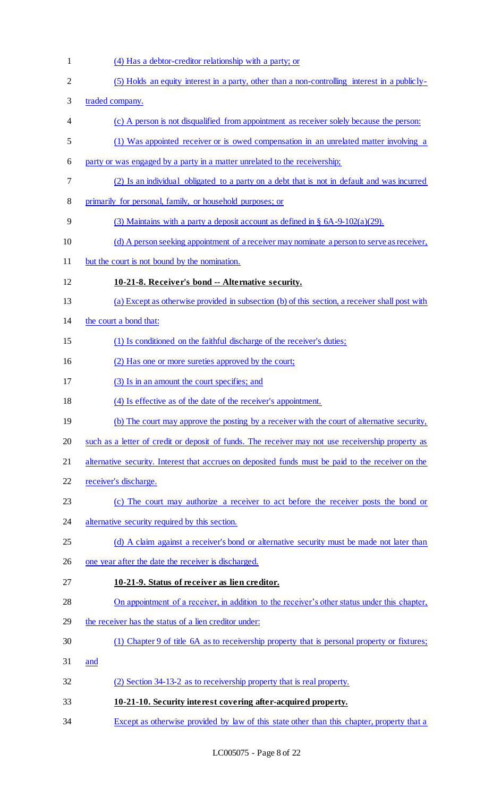(4) Has a debtor-creditor relationship with a party; or (5) Holds an equity interest in a party, other than a non-controlling interest in a publicly- traded company. (c) A person is not disqualified from appointment as receiver solely because the person: (1) Was appointed receiver or is owed compensation in an unrelated matter involving a party or was engaged by a party in a matter unrelated to the receivership; (2) Is an individual obligated to a party on a debt that is not in default and was incurred primarily for personal, family, or household purposes; or 9 (3) Maintains with a party a deposit account as defined in  $\S$  6A-9-102(a)(29). (d) A person seeking appointment of a receiver may nominate a person to serve as receiver, but the court is not bound by the nomination. **10-21-8. Receiver's bond -- Alternative security.**  (a) Except as otherwise provided in subsection (b) of this section, a receiver shall post with the court a bond that: (1) Is conditioned on the faithful discharge of the receiver's duties; (2) Has one or more sureties approved by the court; (3) Is in an amount the court specifies; and (4) Is effective as of the date of the receiver's appointment. 19 (b) The court may approve the posting by a receiver with the court of alternative security, such as a letter of credit or deposit of funds. The receiver may not use receivership property as 21 alternative security. Interest that accrues on deposited funds must be paid to the receiver on the receiver's discharge. (c) The court may authorize a receiver to act before the receiver posts the bond or 24 alternative security required by this section. 25 (d) A claim against a receiver's bond or alternative security must be made not later than one year after the date the receiver is discharged. **10-21-9. Status of receiver as lien creditor.**  On appointment of a receiver, in addition to the receiver's other status under this chapter, 29 the receiver has the status of a lien creditor under: (1) Chapter 9 of title 6A as to receivership property that is personal property or fixtures; and (2) Section 34-13-2 as to receivership property that is real property. **10-21-10. Security interest covering after-acquired property.** 

34 Except as otherwise provided by law of this state other than this chapter, property that a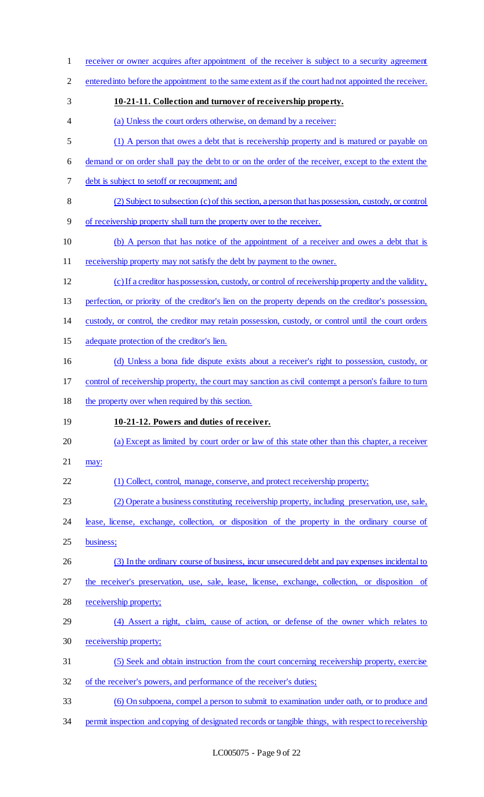receiver or owner acquires after appointment of the receiver is subject to a security agreement 2 entered into before the appointment to the same extent as if the court had not appointed the receiver. **10-21-11. Collection and turnover of receivership property.**  (a) Unless the court orders otherwise, on demand by a receiver: (1) A person that owes a debt that is receivership property and is matured or payable on demand or on order shall pay the debt to or on the order of the receiver, except to the extent the debt is subject to setoff or recoupment; and (2) Subject to subsection (c) of this section, a person that has possession, custody, or control of receivership property shall turn the property over to the receiver. (b) A person that has notice of the appointment of a receiver and owes a debt that is 11 receivership property may not satisfy the debt by payment to the owner. (c) If a creditor has possession, custody, or control of receivership property and the validity, perfection, or priority of the creditor's lien on the property depends on the creditor's possession, custody, or control, the creditor may retain possession, custody, or control until the court orders adequate protection of the creditor's lien. 16 (d) Unless a bona fide dispute exists about a receiver's right to possession, custody, or control of receivership property, the court may sanction as civil contempt a person's failure to turn the property over when required by this section. **10-21-12. Powers and duties of receiver.**  (a) Except as limited by court order or law of this state other than this chapter, a receiver may: (1) Collect, control, manage, conserve, and protect receivership property; (2) Operate a business constituting receivership property, including preservation, use, sale, lease, license, exchange, collection, or disposition of the property in the ordinary course of business; (3) In the ordinary course of business, incur unsecured debt and pay expenses incidental to the receiver's preservation, use, sale, lease, license, exchange, collection, or disposition of receivership property; (4) Assert a right, claim, cause of action, or defense of the owner which relates to receivership property; (5) Seek and obtain instruction from the court concerning receivership property, exercise of the receiver's powers, and performance of the receiver's duties; (6) On subpoena, compel a person to submit to examination under oath, or to produce and 34 permit inspection and copying of designated records or tangible things, with respect to receivership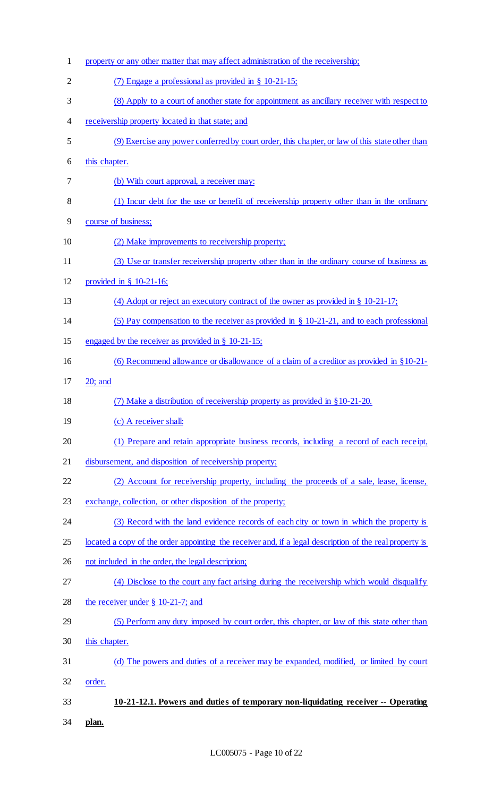| $\mathbf 1$    | property or any other matter that may affect administration of the receivership;                        |
|----------------|---------------------------------------------------------------------------------------------------------|
| $\overline{2}$ | (7) Engage a professional as provided in $\S$ 10-21-15;                                                 |
| 3              | (8) Apply to a court of another state for appointment as ancillary receiver with respect to             |
| 4              | receivership property located in that state; and                                                        |
| 5              | (9) Exercise any power conferred by court order, this chapter, or law of this state other than          |
| 6              | this chapter.                                                                                           |
| 7              | (b) With court approval, a receiver may:                                                                |
| 8              | (1) Incur debt for the use or benefit of receivership property other than in the ordinary               |
| 9              | course of business;                                                                                     |
| 10             | (2) Make improvements to receivership property;                                                         |
| 11             | (3) Use or transfer receivership property other than in the ordinary course of business as              |
| 12             | provided in $\S$ 10-21-16;                                                                              |
| 13             | (4) Adopt or reject an executory contract of the owner as provided in $\S$ 10-21-17;                    |
| 14             | (5) Pay compensation to the receiver as provided in $\S$ 10-21-21, and to each professional             |
| 15             | engaged by the receiver as provided in $\S$ 10-21-15;                                                   |
| 16             | (6) Recommend allowance or disallowance of a claim of a creditor as provided in $\S 10-21$              |
| 17             | $20$ ; and                                                                                              |
| 18             | (7) Make a distribution of receivership property as provided in §10-21-20.                              |
| 19             | (c) A receiver shall:                                                                                   |
| 20             | (1) Prepare and retain appropriate business records, including a record of each receipt,                |
| 21             | disbursement, and disposition of receivership property;                                                 |
| 22             | (2) Account for receivership property, including the proceeds of a sale, lease, license,                |
| 23             | exchange, collection, or other disposition of the property;                                             |
| 24             | (3) Record with the land evidence records of each city or town in which the property is                 |
| 25             | located a copy of the order appointing the receiver and, if a legal description of the real property is |
| 26             | not included in the order, the legal description;                                                       |
| 27             | (4) Disclose to the court any fact arising during the receivership which would disqualify               |
| 28             | the receiver under $\S$ 10-21-7; and                                                                    |
| 29             | (5) Perform any duty imposed by court order, this chapter, or law of this state other than              |
| 30             | this chapter.                                                                                           |
| 31             | (d) The powers and duties of a receiver may be expanded, modified, or limited by court                  |
| 32             | order.                                                                                                  |
| 33             | 10-21-12.1. Powers and duties of temporary non-liquidating receiver -- Operating                        |
| 34             | plan.                                                                                                   |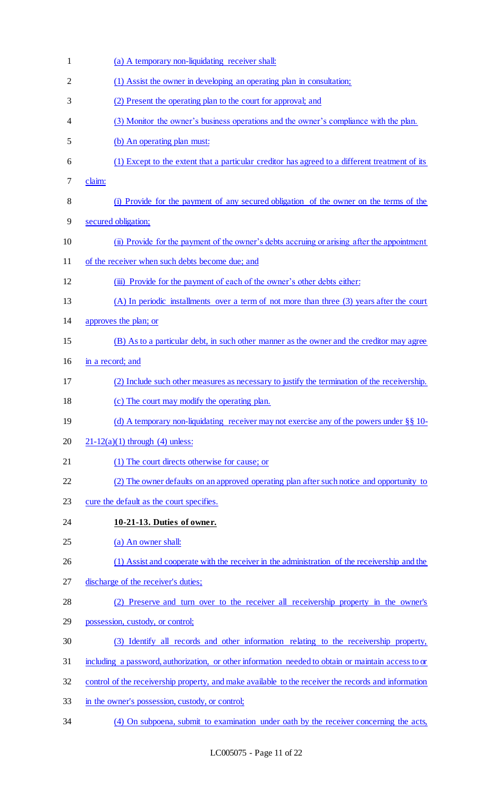| $\mathbf{1}$ | (a) A temporary non-liquidating receiver shall:                                                      |
|--------------|------------------------------------------------------------------------------------------------------|
| 2            | (1) Assist the owner in developing an operating plan in consultation;                                |
| 3            | (2) Present the operating plan to the court for approval; and                                        |
| 4            | (3) Monitor the owner's business operations and the owner's compliance with the plan.                |
| 5            | (b) An operating plan must:                                                                          |
| 6            | (1) Except to the extent that a particular creditor has agreed to a different treatment of its       |
| 7            | claim:                                                                                               |
| 8            | (i) Provide for the payment of any secured obligation of the owner on the terms of the               |
| 9            | secured obligation;                                                                                  |
| 10           | (ii) Provide for the payment of the owner's debts accruing or arising after the appointment          |
| 11           | of the receiver when such debts become due; and                                                      |
| 12           | (iii) Provide for the payment of each of the owner's other debts either:                             |
| 13           | (A) In periodic installments over a term of not more than three (3) years after the court            |
| 14           | approves the plan; or                                                                                |
| 15           | (B) As to a particular debt, in such other manner as the owner and the creditor may agree            |
| 16           | in a record; and                                                                                     |
| 17           | (2) Include such other measures as necessary to justify the termination of the receivership.         |
| 18           | (c) The court may modify the operating plan.                                                         |
| 19           | (d) A temporary non-liquidating receiver may not exercise any of the powers under $\S$ § 10-         |
| 20           | $21-12(a)(1)$ through (4) unless:                                                                    |
| 21           | (1) The court directs otherwise for cause; or                                                        |
| 22           | (2) The owner defaults on an approved operating plan after such notice and opportunity to            |
| 23           | cure the default as the court specifies.                                                             |
| 24           | 10-21-13. Duties of owner.                                                                           |
| 25           | (a) An owner shall:                                                                                  |
| 26           | (1) Assist and cooperate with the receiver in the administration of the receivership and the         |
| 27           | discharge of the receiver's duties;                                                                  |
| 28           | Preserve and turn over to the receiver all receivership property in the owner's                      |
| 29           | possession, custody, or control;                                                                     |
| 30           | (3) Identify all records and other information relating to the receivership property,                |
| 31           | including a password, authorization, or other information needed to obtain or maintain access to or  |
| 32           | control of the receivership property, and make available to the receiver the records and information |
| 33           | in the owner's possession, custody, or control;                                                      |
|              |                                                                                                      |

(4) On subpoena, submit to examination under oath by the receiver concerning the acts,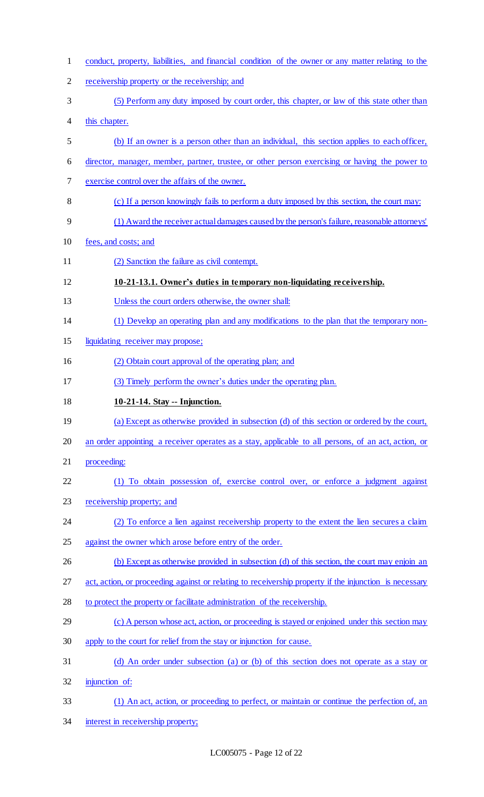| $\mathbf{1}$   | conduct, property, liabilities, and financial condition of the owner or any matter relating to the     |
|----------------|--------------------------------------------------------------------------------------------------------|
| $\overline{2}$ | receivership property or the receivership; and                                                         |
| 3              | (5) Perform any duty imposed by court order, this chapter, or law of this state other than             |
| 4              | this chapter.                                                                                          |
| 5              | (b) If an owner is a person other than an individual, this section applies to each officer,            |
| 6              | director, manager, member, partner, trustee, or other person exercising or having the power to         |
| 7              | exercise control over the affairs of the owner.                                                        |
| 8              | (c) If a person knowingly fails to perform a duty imposed by this section, the court may:              |
| 9              | (1) Award the receiver actual damages caused by the person's failure, reasonable attorneys'            |
| 10             | fees, and costs; and                                                                                   |
| 11             | (2) Sanction the failure as civil contempt.                                                            |
| 12             | 10-21-13.1. Owner's duties in temporary non-liquidating receivership.                                  |
| 13             | Unless the court orders otherwise, the owner shall:                                                    |
| 14             | (1) Develop an operating plan and any modifications to the plan that the temporary non-                |
| 15             | liquidating receiver may propose;                                                                      |
| 16             | (2) Obtain court approval of the operating plan; and                                                   |
| 17             | (3) Timely perform the owner's duties under the operating plan.                                        |
|                |                                                                                                        |
| 18             | 10-21-14. Stay -- Injunction.                                                                          |
| 19             | (a) Except as otherwise provided in subsection (d) of this section or ordered by the court,            |
| 20             | an order appointing a receiver operates as a stay, applicable to all persons, of an act, action, or    |
| 21             | proceeding:                                                                                            |
| 22             | (1) To obtain possession of, exercise control over, or enforce a judgment against                      |
| 23             | receivership property; and                                                                             |
| 24             | (2) To enforce a lien against receivership property to the extent the lien secures a claim             |
| 25             | against the owner which arose before entry of the order.                                               |
| 26             | (b) Except as otherwise provided in subsection (d) of this section, the court may enjoin an            |
| 27             | act, action, or proceeding against or relating to receivership property if the injunction is necessary |
| 28             | to protect the property or facilitate administration of the receivership.                              |
| 29             | (c) A person whose act, action, or proceeding is stayed or enjoined under this section may             |
| 30             | apply to the court for relief from the stay or injunction for cause.                                   |
| 31             | (d) An order under subsection (a) or (b) of this section does not operate as a stay or                 |
| 32             | injunction of:                                                                                         |
| 33             | (1) An act, action, or proceeding to perfect, or maintain or continue the perfection of, an            |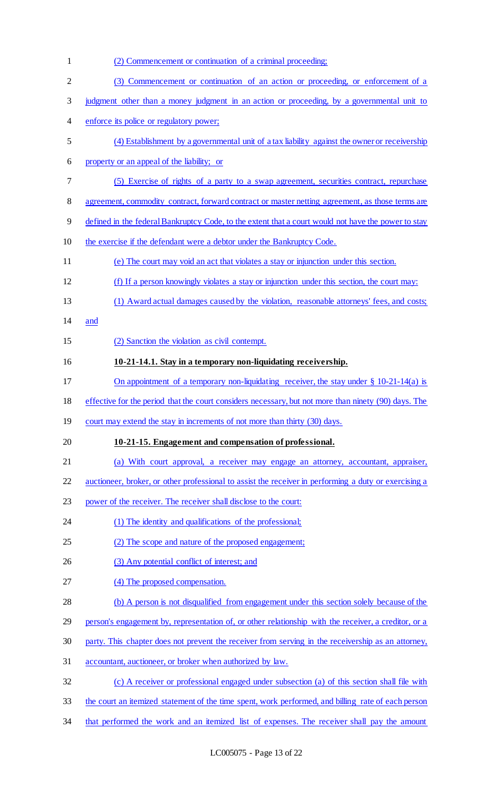| $\mathbf{1}$   | (2) Commencement or continuation of a criminal proceeding;                                            |
|----------------|-------------------------------------------------------------------------------------------------------|
| $\overline{2}$ | (3) Commencement or continuation of an action or proceeding, or enforcement of a                      |
| 3              | judgment other than a money judgment in an action or proceeding, by a governmental unit to            |
| 4              | enforce its police or regulatory power;                                                               |
| 5              | (4) Establishment by a governmental unit of a tax liability against the owner or receivership         |
| 6              | property or an appeal of the liability; or                                                            |
| 7              | (5) Exercise of rights of a party to a swap agreement, securities contract, repurchase                |
| 8              | agreement, commodity contract, forward contract or master netting agreement, as those terms are       |
| 9              | defined in the federal Bankruptcy Code, to the extent that a court would not have the power to stay   |
| 10             | the exercise if the defendant were a debtor under the Bankruptcy Code.                                |
| 11             | (e) The court may void an act that violates a stay or injunction under this section.                  |
| 12             | (f) If a person knowingly violates a stay or injunction under this section, the court may:            |
| 13             | (1) Award actual damages caused by the violation, reasonable attorneys' fees, and costs;              |
| 14             | and                                                                                                   |
| 15             | (2) Sanction the violation as civil contempt.                                                         |
| 16             | 10-21-14.1. Stay in a temporary non-liquidating receivership.                                         |
| 17             | On appointment of a temporary non-liquidating receiver, the stay under $\S$ 10-21-14(a) is            |
| 18             | effective for the period that the court considers necessary, but not more than ninety (90) days. The  |
| 19             | court may extend the stay in increments of not more than thirty (30) days.                            |
| 20             | 10-21-15. Engagement and compensation of professional.                                                |
| 21             | (a) With court approval, a receiver may engage an attorney, accountant, appraiser,                    |
| 22             | auctioneer, broker, or other professional to assist the receiver in performing a duty or exercising a |
| 23             | power of the receiver. The receiver shall disclose to the court:                                      |
| 24             | (1) The identity and qualifications of the professional;                                              |
| 25             | (2) The scope and nature of the proposed engagement;                                                  |
| 26             | (3) Any potential conflict of interest; and                                                           |
| 27             | (4) The proposed compensation.                                                                        |
| 28             | (b) A person is not disqualified from engagement under this section solely because of the             |
| 29             | person's engagement by, representation of, or other relationship with the receiver, a creditor, or a  |
| 30             | party. This chapter does not prevent the receiver from serving in the receivership as an attorney,    |
| 31             | accountant, auctioneer, or broker when authorized by law.                                             |
| 32             | (c) A receiver or professional engaged under subsection (a) of this section shall file with           |
| 33             | the court an itemized statement of the time spent, work performed, and billing rate of each person    |
| 34             | that performed the work and an itemized list of expenses. The receiver shall pay the amount           |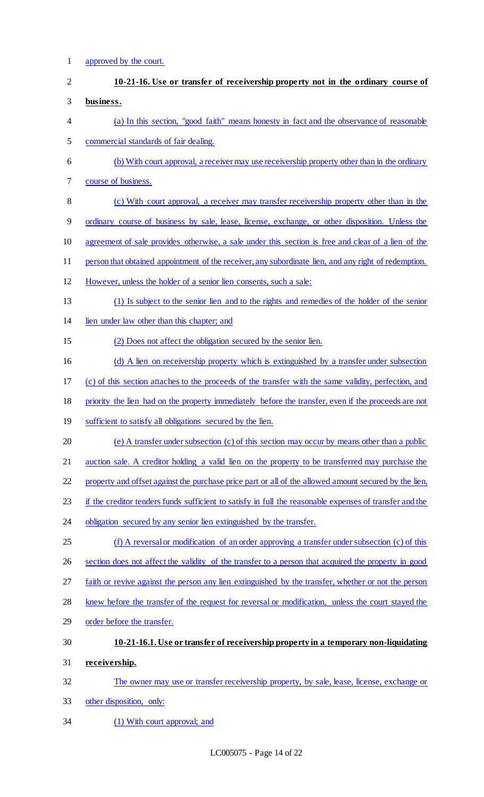# approved by the court.

# **10-21-16. Use or transfer of receivership property not in the ordinary course of business.**  (a) In this section, "good faith" means honesty in fact and the observance of reasonable commercial standards of fair dealing. (b) With court approval, a receiver may use receivership property other than in the ordinary course of business. (c) With court approval, a receiver may transfer receivership property other than in the ordinary course of business by sale, lease, license, exchange, or other disposition. Unless the agreement of sale provides otherwise, a sale under this section is free and clear of a lien of the person that obtained appointment of the receiver, any subordinate lien, and any right of redemption. However, unless the holder of a senior lien consents, such a sale: (1) Is subject to the senior lien and to the rights and remedies of the holder of the senior lien under law other than this chapter; and (2) Does not affect the obligation secured by the senior lien. (d) A lien on receivership property which is extinguished by a transfer under subsection (c) of this section attaches to the proceeds of the transfer with the same validity, perfection, and priority the lien had on the property immediately before the transfer, even if the proceeds are not 19 sufficient to satisfy all obligations secured by the lien. (e) A transfer under subsection (c) of this section may occur by means other than a public auction sale. A creditor holding a valid lien on the property to be transferred may purchase the 22 property and offset against the purchase price part or all of the allowed amount secured by the lien, 23 if the creditor tenders funds sufficient to satisfy in full the reasonable expenses of transfer and the 24 obligation secured by any senior lien extinguished by the transfer. (f) A reversal or modification of an order approving a transfer under subsection (c) of this section does not affect the validity of the transfer to a person that acquired the property in good faith or revive against the person any lien extinguished by the transfer, whether or not the person knew before the transfer of the request for reversal or modification, unless the court stayed the order before the transfer. **10-21-16.1. Use or transfer of receivership property in a temporary non-liquidating receivership.**  The owner may use or transfer receivership property, by sale, lease, license, exchange or other disposition, only:

(1) With court approval; and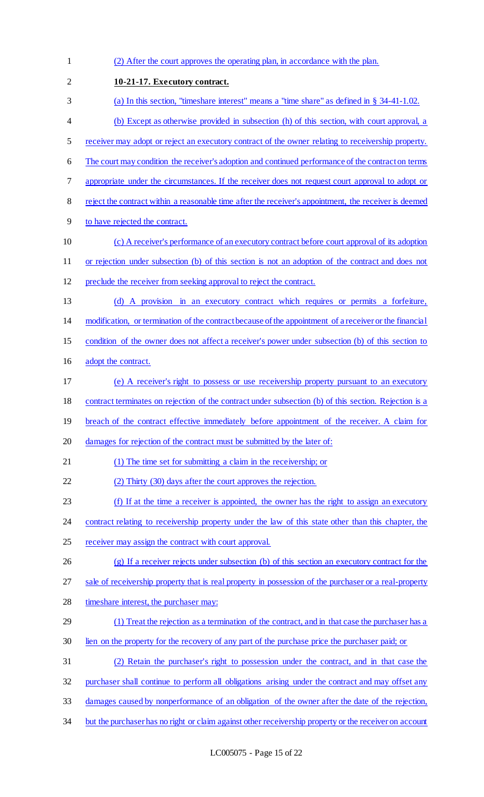(2) After the court approves the operating plan, in accordance with the plan. **10-21-17. Executory contract.**  (a) In this section, "timeshare interest" means a "time share" as defined in § 34-41-1.02. (b) Except as otherwise provided in subsection (h) of this section, with court approval, a receiver may adopt or reject an executory contract of the owner relating to receivership property. 6 The court may condition the receiver's adoption and continued performance of the contract on terms appropriate under the circumstances. If the receiver does not request court approval to adopt or reject the contract within a reasonable time after the receiver's appointment, the receiver is deemed to have rejected the contract. (c) A receiver's performance of an executory contract before court approval of its adoption or rejection under subsection (b) of this section is not an adoption of the contract and does not preclude the receiver from seeking approval to reject the contract. (d) A provision in an executory contract which requires or permits a forfeiture, modification, or termination of the contract because of the appointment of a receiver or the financial condition of the owner does not affect a receiver's power under subsection (b) of this section to adopt the contract. (e) A receiver's right to possess or use receivership property pursuant to an executory contract terminates on rejection of the contract under subsection (b) of this section. Rejection is a 19 breach of the contract effective immediately before appointment of the receiver. A claim for 20 damages for rejection of the contract must be submitted by the later of: (1) The time set for submitting a claim in the receivership; or (2) Thirty (30) days after the court approves the rejection. (f) If at the time a receiver is appointed, the owner has the right to assign an executory 24 contract relating to receivership property under the law of this state other than this chapter, the 25 receiver may assign the contract with court approval. (g) If a receiver rejects under subsection (b) of this section an executory contract for the 27 sale of receivership property that is real property in possession of the purchaser or a real-property timeshare interest, the purchaser may: (1) Treat the rejection as a termination of the contract, and in that case the purchaser has a lien on the property for the recovery of any part of the purchase price the purchaser paid; or (2) Retain the purchaser's right to possession under the contract, and in that case the purchaser shall continue to perform all obligations arising under the contract and may offset any damages caused by nonperformance of an obligation of the owner after the date of the rejection, 34 but the purchaser has no right or claim against other receivership property or the receiver on account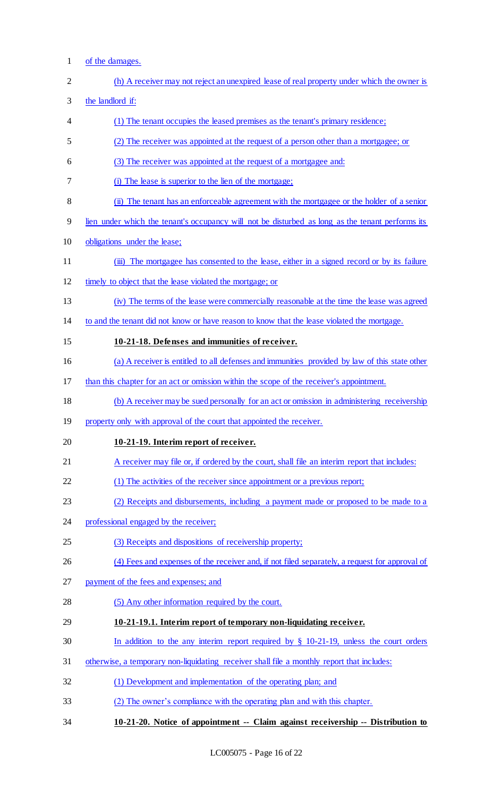of the damages. (h) A receiver may not reject an unexpired lease of real property under which the owner is the landlord if: (1) The tenant occupies the leased premises as the tenant's primary residence; (2) The receiver was appointed at the request of a person other than a mortgagee; or (3) The receiver was appointed at the request of a mortgagee and: (i) The lease is superior to the lien of the mortgage; (ii) The tenant has an enforceable agreement with the mortgagee or the holder of a senior lien under which the tenant's occupancy will not be disturbed as long as the tenant performs its obligations under the lease; (iii) The mortgagee has consented to the lease, either in a signed record or by its failure timely to object that the lease violated the mortgage; or (iv) The terms of the lease were commercially reasonable at the time the lease was agreed to and the tenant did not know or have reason to know that the lease violated the mortgage. **10-21-18. Defenses and immunities of receiver.**  (a) A receiver is entitled to all defenses and immunities provided by law of this state other than this chapter for an act or omission within the scope of the receiver's appointment. (b) A receiver may be sued personally for an act or omission in administering receivership 19 property only with approval of the court that appointed the receiver. **10-21-19. Interim report of receiver.**  21 A receiver may file or, if ordered by the court, shall file an interim report that includes: (1) The activities of the receiver since appointment or a previous report; (2) Receipts and disbursements, including a payment made or proposed to be made to a professional engaged by the receiver; (3) Receipts and dispositions of receivership property; (4) Fees and expenses of the receiver and, if not filed separately, a request for approval of payment of the fees and expenses; and (5) Any other information required by the court. **10-21-19.1. Interim report of temporary non-liquidating receiver.**  In addition to the any interim report required by § 10-21-19, unless the court orders otherwise, a temporary non-liquidating receiver shall file a monthly report that includes: (1) Development and implementation of the operating plan; and (2) The owner's compliance with the operating plan and with this chapter. **10-21-20. Notice of appointment -- Claim against receivership -- Distribution to**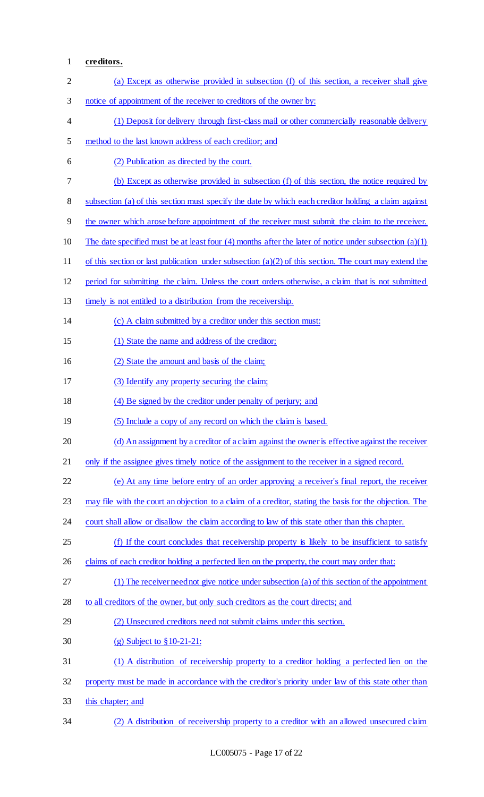## **creditors.**

| $\mathbf{2}$ | (a) Except as otherwise provided in subsection (f) of this section, a receiver shall give               |
|--------------|---------------------------------------------------------------------------------------------------------|
| 3            | notice of appointment of the receiver to creditors of the owner by:                                     |
| 4            | (1) Deposit for delivery through first-class mail or other commercially reasonable delivery             |
| 5            | method to the last known address of each creditor; and                                                  |
| 6            | (2) Publication as directed by the court.                                                               |
| 7            | (b) Except as otherwise provided in subsection (f) of this section, the notice required by              |
| 8            | subsection (a) of this section must specify the date by which each creditor holding a claim against     |
| 9            | the owner which arose before appointment of the receiver must submit the claim to the receiver.         |
| 10           | The date specified must be at least four (4) months after the later of notice under subsection $(a)(1)$ |
| 11           | of this section or last publication under subsection $(a)(2)$ of this section. The court may extend the |
| 12           | period for submitting the claim. Unless the court orders otherwise, a claim that is not submitted       |
| 13           | timely is not entitled to a distribution from the receivership.                                         |
| 14           | (c) A claim submitted by a creditor under this section must:                                            |
| 15           | (1) State the name and address of the creditor;                                                         |
| 16           | (2) State the amount and basis of the claim;                                                            |
| 17           | (3) Identify any property securing the claim;                                                           |
| 18           | (4) Be signed by the creditor under penalty of perjury; and                                             |
| 19           | (5) Include a copy of any record on which the claim is based.                                           |
| 20           | (d) An assignment by a creditor of a claim against the owner is effective against the receiver          |
| 21           | only if the assignee gives timely notice of the assignment to the receiver in a signed record.          |
| 22           | (e) At any time before entry of an order approving a receiver's final report, the receiver              |
| 23           | may file with the court an objection to a claim of a creditor, stating the basis for the objection. The |
| 24           | court shall allow or disallow the claim according to law of this state other than this chapter.         |
| 25           | (f) If the court concludes that receivership property is likely to be insufficient to satisfy           |
| 26           | claims of each creditor holding a perfected lien on the property, the court may order that:             |
| 27           | (1) The receiver need not give notice under subsection (a) of this section of the appointment           |
| 28           | to all creditors of the owner, but only such creditors as the court directs; and                        |
| 29           | (2) Unsecured creditors need not submit claims under this section.                                      |
| 30           | (g) Subject to $§ 10-21-21$ :                                                                           |
| 31           | (1) A distribution of receivership property to a creditor holding a perfected lien on the               |
| 32           | property must be made in accordance with the creditor's priority under law of this state other than     |
| 33           | this chapter; and                                                                                       |
| 34           | (2) A distribution of receivership property to a creditor with an allowed unsecured claim               |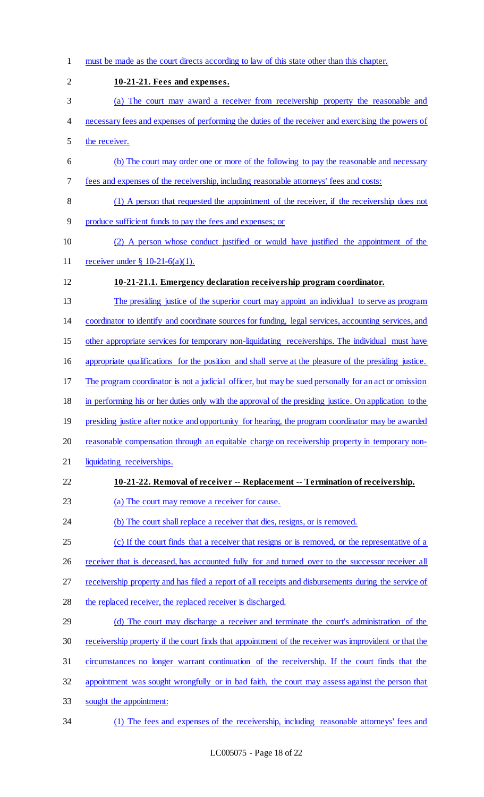must be made as the court directs according to law of this state other than this chapter. **10-21-21. Fees and expenses.**  (a) The court may award a receiver from receivership property the reasonable and necessary fees and expenses of performing the duties of the receiver and exercising the powers of the receiver. (b) The court may order one or more of the following to pay the reasonable and necessary fees and expenses of the receivership, including reasonable attorneys' fees and costs: (1) A person that requested the appointment of the receiver, if the receivership does not produce sufficient funds to pay the fees and expenses; or (2) A person whose conduct justified or would have justified the appointment of the receiver under § 10-21-6(a)(1). **10-21-21.1. Emergency declaration receivership program coordinator.**  The presiding justice of the superior court may appoint an individual to serve as program coordinator to identify and coordinate sources for funding, legal services, accounting services, and other appropriate services for temporary non-liquidating receiverships. The individual must have appropriate qualifications for the position and shall serve at the pleasure of the presiding justice. The program coordinator is not a judicial officer, but may be sued personally for an act or omission in performing his or her duties only with the approval of the presiding justice. On application to the 19 presiding justice after notice and opportunity for hearing, the program coordinator may be awarded reasonable compensation through an equitable charge on receivership property in temporary non- liquidating receiverships. **10-21-22. Removal of receiver -- Replacement -- Termination of receivership.**  (a) The court may remove a receiver for cause. 24 (b) The court shall replace a receiver that dies, resigns, or is removed. (c) If the court finds that a receiver that resigns or is removed, or the representative of a 26 receiver that is deceased, has accounted fully for and turned over to the successor receiver all receivership property and has filed a report of all receipts and disbursements during the service of 28 the replaced receiver, the replaced receiver is discharged. 29 (d) The court may discharge a receiver and terminate the court's administration of the receivership property if the court finds that appointment of the receiver was improvident or that the circumstances no longer warrant continuation of the receivership. If the court finds that the appointment was sought wrongfully or in bad faith, the court may assess against the person that sought the appointment: (1) The fees and expenses of the receivership, including reasonable attorneys' fees and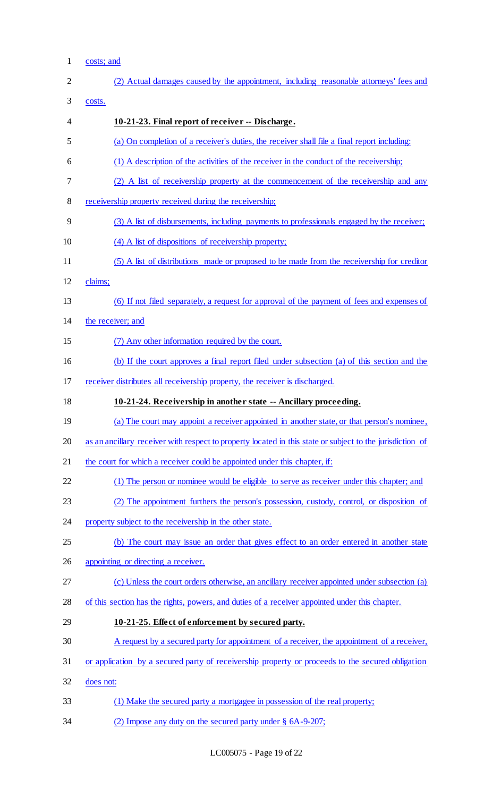1 costs; and

| $\overline{2}$ | (2) Actual damages caused by the appointment, including reasonable attorneys' fees and                    |
|----------------|-----------------------------------------------------------------------------------------------------------|
| 3              | costs.                                                                                                    |
| $\overline{4}$ | 10-21-23. Final report of receiver -- Discharge.                                                          |
| 5              | (a) On completion of a receiver's duties, the receiver shall file a final report including:               |
| 6              | (1) A description of the activities of the receiver in the conduct of the receivership;                   |
| 7              | (2) A list of receivership property at the commencement of the receivership and any                       |
| 8              | receivership property received during the receivership;                                                   |
| 9              | (3) A list of disbursements, including payments to professionals engaged by the receiver;                 |
| 10             | (4) A list of dispositions of receivership property;                                                      |
| 11             | (5) A list of distributions made or proposed to be made from the receivership for creditor                |
| 12             | claims;                                                                                                   |
| 13             | (6) If not filed separately, a request for approval of the payment of fees and expenses of                |
| 14             | the receiver; and                                                                                         |
| 15             | (7) Any other information required by the court.                                                          |
| 16             | (b) If the court approves a final report filed under subsection (a) of this section and the               |
| 17             | receiver distributes all receivership property, the receiver is discharged.                               |
| 18             | 10-21-24. Receivership in another state -- Ancillary proceeding.                                          |
| 19             | (a) The court may appoint a receiver appointed in another state, or that person's nominee,                |
| 20             | as an ancillary receiver with respect to property located in this state or subject to the jurisdiction of |
| 21             | the court for which a receiver could be appointed under this chapter, if:                                 |
| 22             | (1) The person or nominee would be eligible to serve as receiver under this chapter; and                  |
| 23             | (2) The appointment furthers the person's possession, custody, control, or disposition of                 |
| 24             | property subject to the receivership in the other state.                                                  |
| 25             | (b) The court may issue an order that gives effect to an order entered in another state                   |
| 26             | appointing or directing a receiver.                                                                       |
| 27             | (c) Unless the court orders otherwise, an ancillary receiver appointed under subsection (a)               |
| 28             | of this section has the rights, powers, and duties of a receiver appointed under this chapter.            |
| 29             | 10-21-25. Effect of enforcement by secured party.                                                         |
| 30             | A request by a secured party for appointment of a receiver, the appointment of a receiver,                |
| 31             | or application by a secured party of receivership property or proceeds to the secured obligation          |
| 32             | does not:                                                                                                 |
| 33             | (1) Make the secured party a mortgagee in possession of the real property;                                |
| 34             | (2) Impose any duty on the secured party under § 6A-9-207;                                                |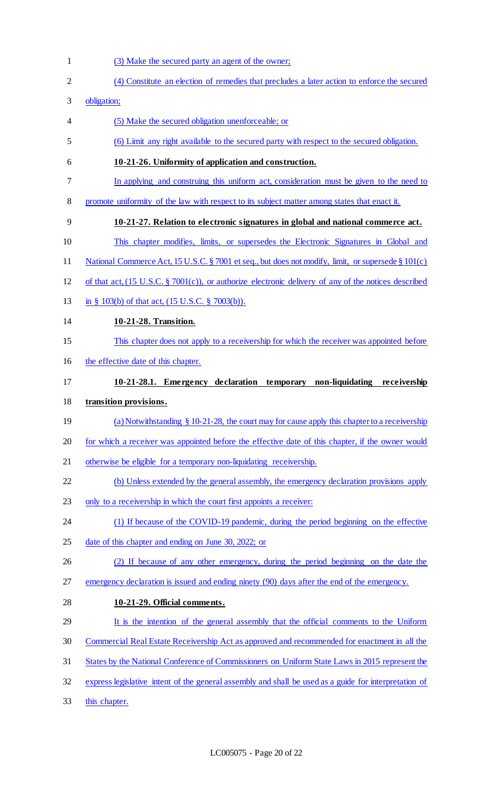- (3) Make the secured party an agent of the owner; (4) Constitute an election of remedies that precludes a later action to enforce the secured obligation; (5) Make the secured obligation unenforceable; or (6) Limit any right available to the secured party with respect to the secured obligation. **10-21-26. Uniformity of application and construction.**  In applying and construing this uniform act, consideration must be given to the need to 8 promote uniformity of the law with respect to its subject matter among states that enact it. **10-21-27. Relation to electronic signatures in global and national commerce act.**  This chapter modifies, limits, or supersedes the Electronic Signatures in Global and 11 National Commerce Act, 15 U.S.C. § 7001 et seq., but does not modify, limit, or supersede § 101(c) of that act, (15 U.S.C. § 7001(c)), or authorize electronic delivery of any of the notices described in § 103(b) of that act, (15 U.S.C. § 7003(b)). **10-21-28. Transition.**  This chapter does not apply to a receivership for which the receiver was appointed before 16 the effective date of this chapter. **10-21-28.1. Emergency declaration temporary non-liquidating receivership transition provisions.**  19 (a) Notwithstanding § 10-21-28, the court may for cause apply this chapter to a receivership for which a receiver was appointed before the effective date of this chapter, if the owner would otherwise be eligible for a temporary non-liquidating receivership. (b) Unless extended by the general assembly, the emergency declaration provisions apply only to a receivership in which the court first appoints a receiver: (1) If because of the COVID-19 pandemic, during the period beginning on the effective 25 date of this chapter and ending on June 30, 2022; or (2) If because of any other emergency, during the period beginning on the date the emergency declaration is issued and ending ninety (90) days after the end of the emergency. **10-21-29. Official comments.**  It is the intention of the general assembly that the official comments to the Uniform Commercial Real Estate Receivership Act as approved and recommended for enactment in all the States by the National Conference of Commissioners on Uniform State Laws in 2015 represent the
	- express legislative intent of the general assembly and shall be used as a guide for interpretation of
	- this chapter.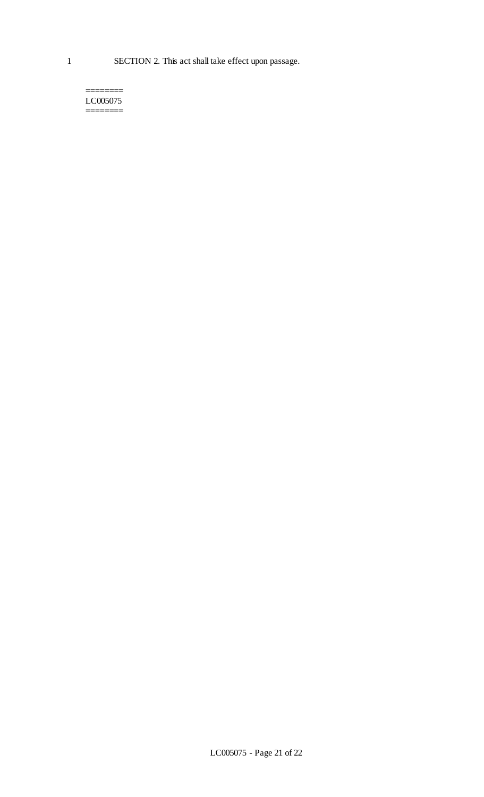======== LC005075 ========